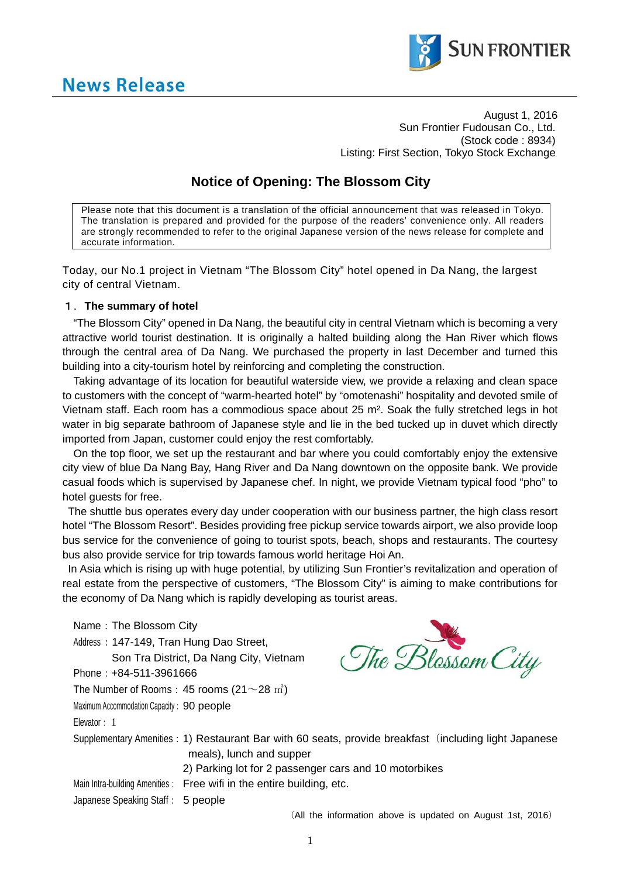



August 1, 2016 Sun Frontier Fudousan Co., Ltd. (Stock code : 8934) Listing: First Section, Tokyo Stock Exchange

# **Notice of Opening: The Blossom City**

Please note that this document is a translation of the official announcement that was released in Tokyo. The translation is prepared and provided for the purpose of the readers' convenience only. All readers are strongly recommended to refer to the original Japanese version of the news release for complete and accurate information.

Today, our No.1 project in Vietnam "The Blossom City" hotel opened in Da Nang, the largest city of central Vietnam.

# 1.**The summary of hotel**

"The Blossom City" opened in Da Nang, the beautiful city in central Vietnam which is becoming a very attractive world tourist destination. It is originally a halted building along the Han River which flows through the central area of Da Nang. We purchased the property in last December and turned this building into a city-tourism hotel by reinforcing and completing the construction.

Taking advantage of its location for beautiful waterside view, we provide a relaxing and clean space to customers with the concept of "warm-hearted hotel" by "omotenashi" hospitality and devoted smile of Vietnam staff. Each room has a commodious space about 25 m². Soak the fully stretched legs in hot water in big separate bathroom of Japanese style and lie in the bed tucked up in duvet which directly imported from Japan, customer could enjoy the rest comfortably.

On the top floor, we set up the restaurant and bar where you could comfortably enjoy the extensive city view of blue Da Nang Bay, Hang River and Da Nang downtown on the opposite bank. We provide casual foods which is supervised by Japanese chef. In night, we provide Vietnam typical food "pho" to hotel guests for free.

The shuttle bus operates every day under cooperation with our business partner, the high class resort hotel "The Blossom Resort". Besides providing free pickup service towards airport, we also provide loop bus service for the convenience of going to tourist spots, beach, shops and restaurants. The courtesy bus also provide service for trip towards famous world heritage Hoi An.

In Asia which is rising up with huge potential, by utilizing Sun Frontier's revitalization and operation of real estate from the perspective of customers, "The Blossom City" is aiming to make contributions for the economy of Da Nang which is rapidly developing as tourist areas.

Name: The Blossom City The Blossom City Address: 147-149, Tran Hung Dao Street, Son Tra District, Da Nang City, Vietnam Phone:+84-511-3961666 The Number of Rooms: 45 rooms ( $21\sim 28$   $\mathrm{m}^2$ ) Maximum Accommodation Capacity: 90 people Elevator: 1 Supplementary Amenities: 1) Restaurant Bar with 60 seats, provide breakfast (including light Japanese meals), lunch and supper 2) Parking lot for 2 passenger cars and 10 motorbikes Main Intra-building Amenities: Free wifi in the entire building, etc. Japanese Speaking Staff: 5 people (All the information above is updated on August 1st, 2016)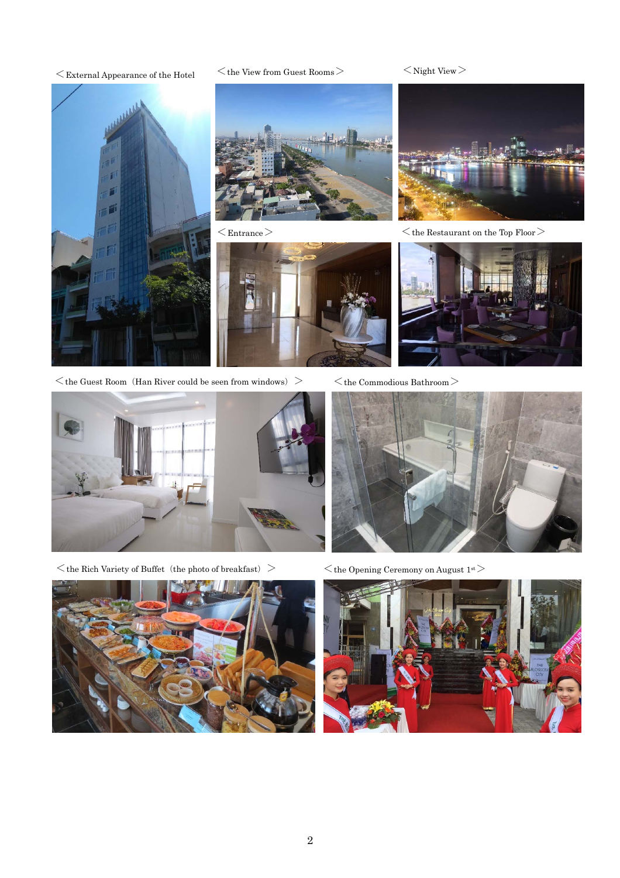$\langle$  External Appearance of the Hotel  $\langle$  the View from Guest Rooms  $\rangle$   $\langle$  Night View  $\rangle$ 



 $\leq$  the Guest Room (Han River could be seen from windows)  $\geq$   $\leq$  the Commodious Bathroom $>$ 



 $<$ the Rich Variety of Buffet (the photo of breakfast) $>$ 



 $\langle \cdot \rangle$ the Opening Ceremony on August 1st